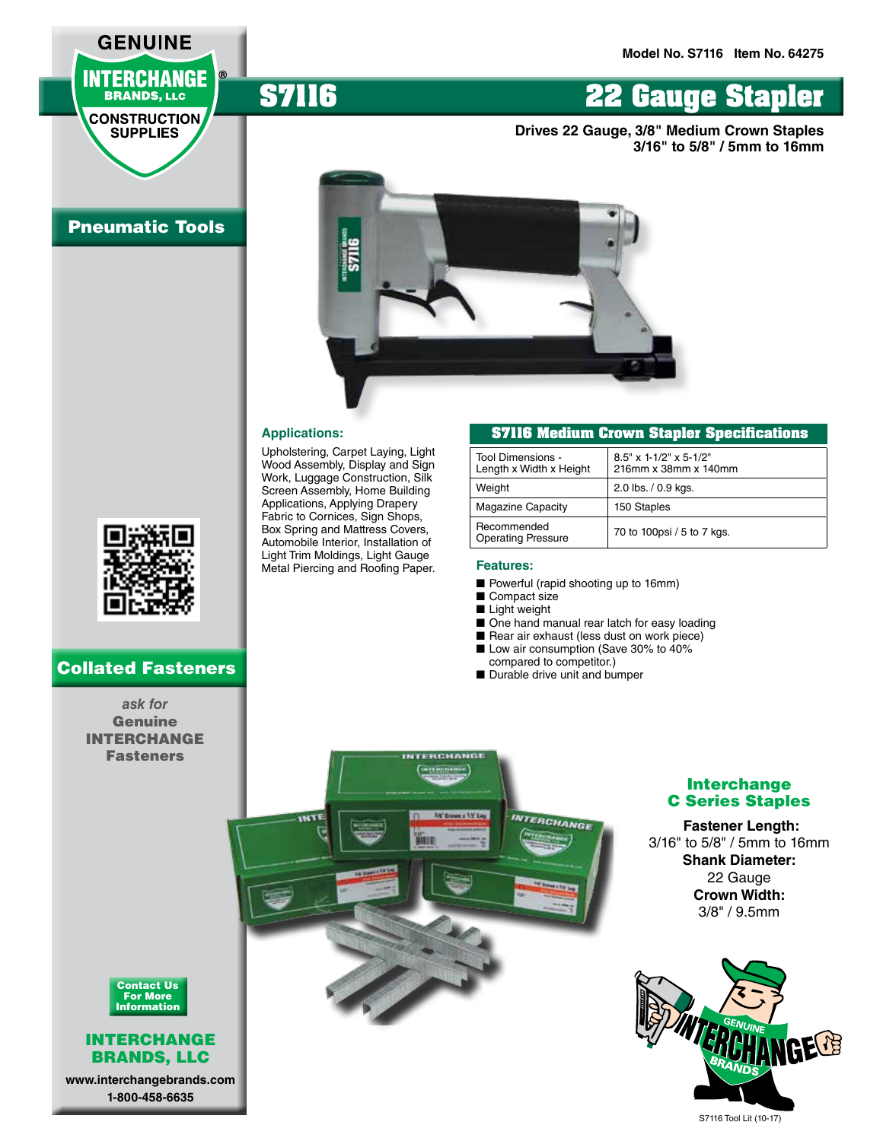**3/16" to 5/8" / 5mm to 16mm**

**Drives 22 Gauge, 3/8" Medium Crown Staples** 

# **INTERCHANGE BRANDS, LLC**

**GENUINE** 

**CONSTRUCTION SUPPLIES** 

# Pneumatic Tools



**S7116 22 Gauge Stapler**

#### **Applications:**

Upholstering, Carpet Laying, Light Wood Assembly, Display and Sign Work, Luggage Construction, Silk Screen Assembly, Home Building Applications, Applying Drapery Fabric to Cornices, Sign Shops, Box Spring and Mattress Covers, Automobile Interior, Installation of Light Trim Moldings, Light Gauge Metal Piercing and Roofing Paper.

#### **S7116 Medium Crown Stapler Specifications**

| Tool Dimensions -<br>Length x Width x Height | $8.5"$ x 1-1/2" x 5-1/2"<br>216mm x 38mm x 140mm |
|----------------------------------------------|--------------------------------------------------|
| Weight                                       | 2.0 lbs. / 0.9 kgs.                              |
| <b>Magazine Capacity</b>                     | 150 Staples                                      |
| Recommended<br><b>Operating Pressure</b>     | 70 to 100psi / 5 to 7 kgs.                       |

#### **Features:**

**DEVALE IN BASE II** 

**1/5' Down x 1/5' Lag .** 

- Powerful (rapid shooting up to 16mm)
- Compact size
- Light weight
- One hand manual rear latch for easy loading
- Rear air exhaust (less dust on work piece)
- Low air consumption (Save 30% to 40% compared to competitor.)
- Durable drive unit and bumper

**INTERCHANGE** 

### *ask for*  Genuine INTERCHANGE Fasteners

Collated Fasteners

## Interchange C Series Staples

 **Fastener Length:** 3/16" to 5/8" / 5mm to 16mm **Shank Diameter:** 22 Gauge **Crown Width:** 3/8" / 9.5mm





#### INTERCHANGE BRANDS, LLC

**www.interchangebrands.com 1-800-458-6635**